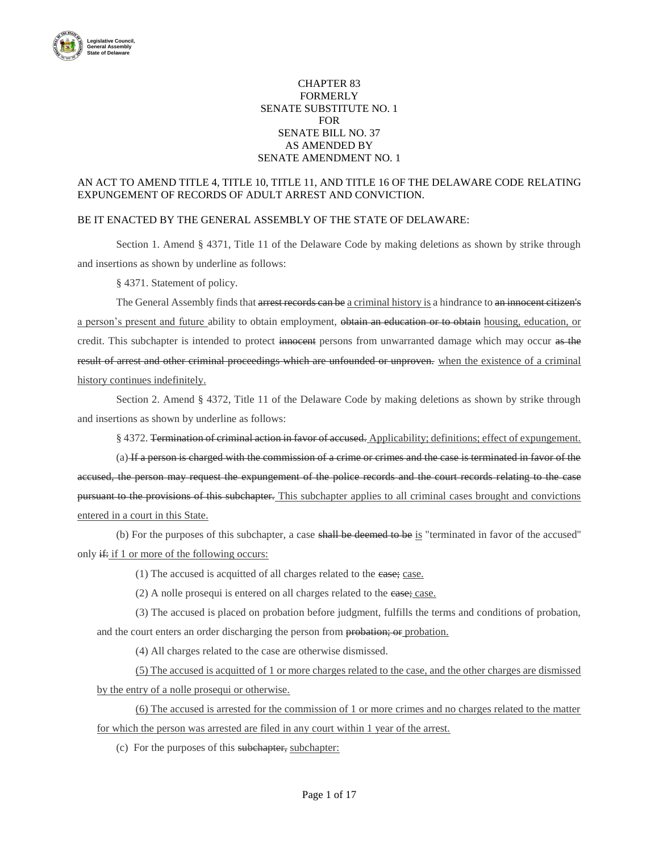

## CHAPTER 83 FORMERLY SENATE SUBSTITUTE NO. 1 FOR SENATE BILL NO. 37 AS AMENDED BY SENATE AMENDMENT NO. 1

## AN ACT TO AMEND TITLE 4, TITLE 10, TITLE 11, AND TITLE 16 OF THE DELAWARE CODE RELATING EXPUNGEMENT OF RECORDS OF ADULT ARREST AND CONVICTION.

### BE IT ENACTED BY THE GENERAL ASSEMBLY OF THE STATE OF DELAWARE:

Section 1. Amend § 4371, Title 11 of the Delaware Code by making deletions as shown by strike through and insertions as shown by underline as follows:

§ 4371. Statement of policy.

The General Assembly finds that arrest records can be a criminal history is a hindrance to an innocent citizen's a person's present and future ability to obtain employment, obtain an education or to obtain housing, education, or credit. This subchapter is intended to protect innocent persons from unwarranted damage which may occur as the result of arrest and other criminal proceedings which are unfounded or unproven. when the existence of a criminal history continues indefinitely.

Section 2. Amend § 4372, Title 11 of the Delaware Code by making deletions as shown by strike through and insertions as shown by underline as follows:

§ 4372. Termination of criminal action in favor of accused. Applicability; definitions; effect of expungement.

(a) If a person is charged with the commission of a crime or crimes and the case is terminated in favor of the accused, the person may request the expungement of the police records and the court records relating to the case pursuant to the provisions of this subchapter. This subchapter applies to all criminal cases brought and convictions entered in a court in this State.

(b) For the purposes of this subchapter, a case shall be deemed to be is "terminated in favor of the accused'' only  $\frac{d}{dx}$  if 1 or more of the following occurs:

(1) The accused is acquitted of all charges related to the case; case.

(2) A nolle prosequi is entered on all charges related to the case; case.

(3) The accused is placed on probation before judgment, fulfills the terms and conditions of probation, and the court enters an order discharging the person from probation; or probation.

(4) All charges related to the case are otherwise dismissed.

(5) The accused is acquitted of 1 or more charges related to the case, and the other charges are dismissed by the entry of a nolle prosequi or otherwise.

(6) The accused is arrested for the commission of 1 or more crimes and no charges related to the matter for which the person was arrested are filed in any court within 1 year of the arrest.

(c) For the purposes of this subchapter, subchapter: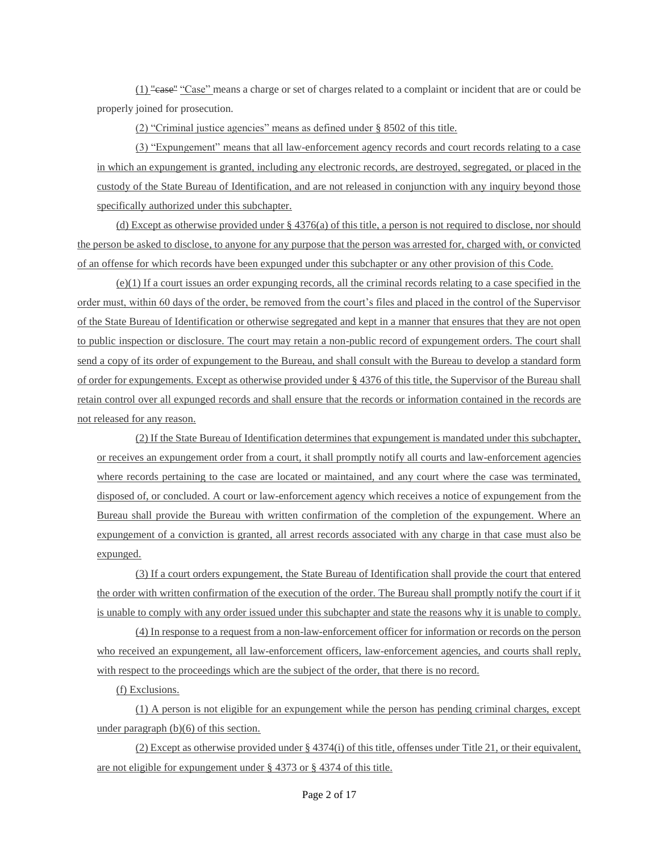(1) "case'' "Case" means a charge or set of charges related to a complaint or incident that are or could be properly joined for prosecution.

(2) "Criminal justice agencies" means as defined under § 8502 of this title.

(3) "Expungement" means that all law-enforcement agency records and court records relating to a case in which an expungement is granted, including any electronic records, are destroyed, segregated, or placed in the custody of the State Bureau of Identification, and are not released in conjunction with any inquiry beyond those specifically authorized under this subchapter.

(d) Except as otherwise provided under  $\S 4376(a)$  of this title, a person is not required to disclose, nor should the person be asked to disclose, to anyone for any purpose that the person was arrested for, charged with, or convicted of an offense for which records have been expunged under this subchapter or any other provision of this Code.

 $(e)(1)$  If a court issues an order expunging records, all the criminal records relating to a case specified in the order must, within 60 days of the order, be removed from the court's files and placed in the control of the Supervisor of the State Bureau of Identification or otherwise segregated and kept in a manner that ensures that they are not open to public inspection or disclosure. The court may retain a non-public record of expungement orders. The court shall send a copy of its order of expungement to the Bureau, and shall consult with the Bureau to develop a standard form of order for expungements. Except as otherwise provided under § 4376 of this title, the Supervisor of the Bureau shall retain control over all expunged records and shall ensure that the records or information contained in the records are not released for any reason.

(2) If the State Bureau of Identification determines that expungement is mandated under this subchapter, or receives an expungement order from a court, it shall promptly notify all courts and law-enforcement agencies where records pertaining to the case are located or maintained, and any court where the case was terminated, disposed of, or concluded. A court or law-enforcement agency which receives a notice of expungement from the Bureau shall provide the Bureau with written confirmation of the completion of the expungement. Where an expungement of a conviction is granted, all arrest records associated with any charge in that case must also be expunged.

(3) If a court orders expungement, the State Bureau of Identification shall provide the court that entered the order with written confirmation of the execution of the order. The Bureau shall promptly notify the court if it is unable to comply with any order issued under this subchapter and state the reasons why it is unable to comply.

(4) In response to a request from a non-law-enforcement officer for information or records on the person who received an expungement, all law-enforcement officers, law-enforcement agencies, and courts shall reply, with respect to the proceedings which are the subject of the order, that there is no record.

(f) Exclusions.

(1) A person is not eligible for an expungement while the person has pending criminal charges, except under paragraph (b)(6) of this section.

(2) Except as otherwise provided under § 4374(i) of this title, offenses under Title 21, or their equivalent, are not eligible for expungement under § 4373 or § 4374 of this title.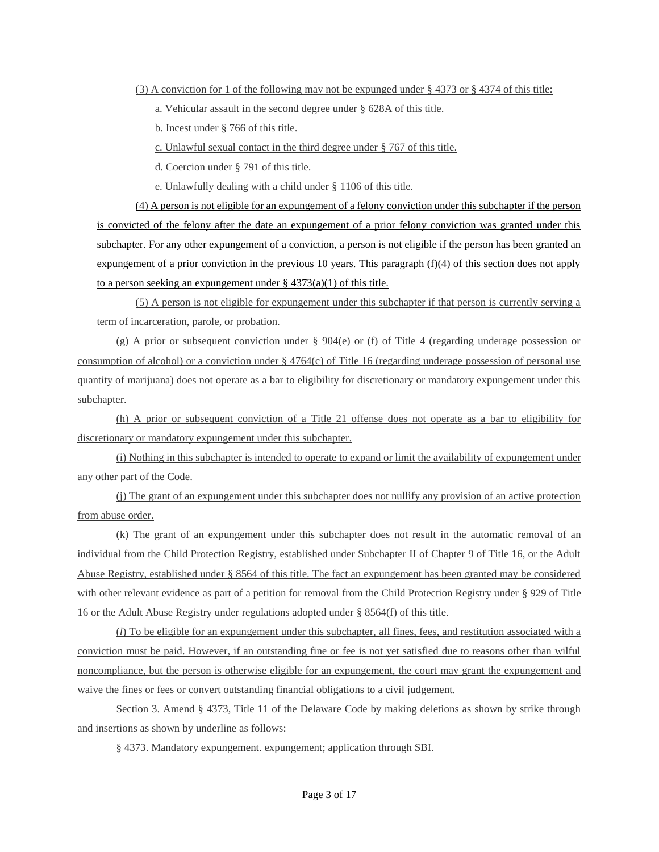(3) A conviction for 1 of the following may not be expunged under § 4373 or § 4374 of this title:

a. Vehicular assault in the second degree under § 628A of this title.

b. Incest under § 766 of this title.

c. Unlawful sexual contact in the third degree under § 767 of this title.

d. Coercion under § 791 of this title.

e. Unlawfully dealing with a child under § 1106 of this title.

(4) A person is not eligible for an expungement of a felony conviction under this subchapter if the person is convicted of the felony after the date an expungement of a prior felony conviction was granted under this subchapter. For any other expungement of a conviction, a person is not eligible if the person has been granted an expungement of a prior conviction in the previous 10 years. This paragraph  $(f)(4)$  of this section does not apply to a person seeking an expungement under  $\S 4373(a)(1)$  of this title.

(5) A person is not eligible for expungement under this subchapter if that person is currently serving a term of incarceration, parole, or probation.

(g) A prior or subsequent conviction under  $\S$  904(e) or (f) of Title 4 (regarding underage possession or consumption of alcohol) or a conviction under  $\S$  4764(c) of Title 16 (regarding underage possession of personal use quantity of marijuana) does not operate as a bar to eligibility for discretionary or mandatory expungement under this subchapter.

(h) A prior or subsequent conviction of a Title 21 offense does not operate as a bar to eligibility for discretionary or mandatory expungement under this subchapter.

(i) Nothing in this subchapter is intended to operate to expand or limit the availability of expungement under any other part of the Code.

(j) The grant of an expungement under this subchapter does not nullify any provision of an active protection from abuse order.

(k) The grant of an expungement under this subchapter does not result in the automatic removal of an individual from the Child Protection Registry, established under Subchapter II of Chapter 9 of Title 16, or the Adult Abuse Registry, established under § 8564 of this title. The fact an expungement has been granted may be considered with other relevant evidence as part of a petition for removal from the Child Protection Registry under § 929 of Title 16 or the Adult Abuse Registry under regulations adopted under § 8564(f) of this title.

(*l*) To be eligible for an expungement under this subchapter, all fines, fees, and restitution associated with a conviction must be paid. However, if an outstanding fine or fee is not yet satisfied due to reasons other than wilful noncompliance, but the person is otherwise eligible for an expungement, the court may grant the expungement and waive the fines or fees or convert outstanding financial obligations to a civil judgement.

Section 3. Amend § 4373, Title 11 of the Delaware Code by making deletions as shown by strike through and insertions as shown by underline as follows:

§ 4373. Mandatory expungement. expungement; application through SBI.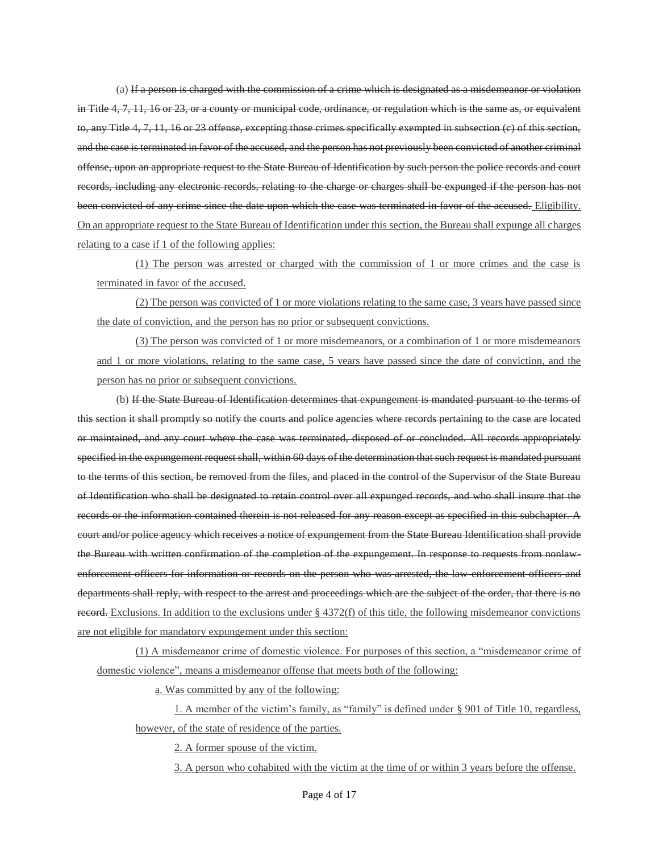(a) If a person is charged with the commission of a crime which is designated as a misdemeanor or violation in Title 4, 7, 11, 16 or 23, or a county or municipal code, ordinance, or regulation which is the same as, or equivalent to, any Title 4, 7, 11, 16 or 23 offense, excepting those crimes specifically exempted in subsection (c) of this section, and the case is terminated in favor of the accused, and the person has not previously been convicted of another criminal offense, upon an appropriate request to the State Bureau of Identification by such person the police records and court records, including any electronic records, relating to the charge or charges shall be expunged if the person has not been convicted of any crime since the date upon which the case was terminated in favor of the accused. Eligibility. On an appropriate request to the State Bureau of Identification under this section, the Bureau shall expunge all charges relating to a case if 1 of the following applies:

(1) The person was arrested or charged with the commission of 1 or more crimes and the case is terminated in favor of the accused.

(2) The person was convicted of 1 or more violations relating to the same case, 3 years have passed since the date of conviction, and the person has no prior or subsequent convictions.

(3) The person was convicted of 1 or more misdemeanors, or a combination of 1 or more misdemeanors and 1 or more violations, relating to the same case, 5 years have passed since the date of conviction, and the person has no prior or subsequent convictions.

(b) If the State Bureau of Identification determines that expungement is mandated pursuant to the terms of this section it shall promptly so notify the courts and police agencies where records pertaining to the case are located or maintained, and any court where the case was terminated, disposed of or concluded. All records appropriately specified in the expungement request shall, within 60 days of the determination that such request is mandated pursuant to the terms of this section, be removed from the files, and placed in the control of the Supervisor of the State Bureau of Identification who shall be designated to retain control over all expunged records, and who shall insure that the records or the information contained therein is not released for any reason except as specified in this subchapter. A court and/or police agency which receives a notice of expungement from the State Bureau Identification shall provide the Bureau with written confirmation of the completion of the expungement. In response to requests from nonlawenforcement officers for information or records on the person who was arrested, the law-enforcement officers and departments shall reply, with respect to the arrest and proceedings which are the subject of the order, that there is no record. Exclusions. In addition to the exclusions under  $\S$  4372(f) of this title, the following misdemeanor convictions are not eligible for mandatory expungement under this section:

(1) A misdemeanor crime of domestic violence. For purposes of this section, a "misdemeanor crime of domestic violence", means a misdemeanor offense that meets both of the following:

a. Was committed by any of the following:

1. A member of the victim's family, as "family" is defined under § 901 of Title 10, regardless, however, of the state of residence of the parties.

2. A former spouse of the victim.

3. A person who cohabited with the victim at the time of or within 3 years before the offense.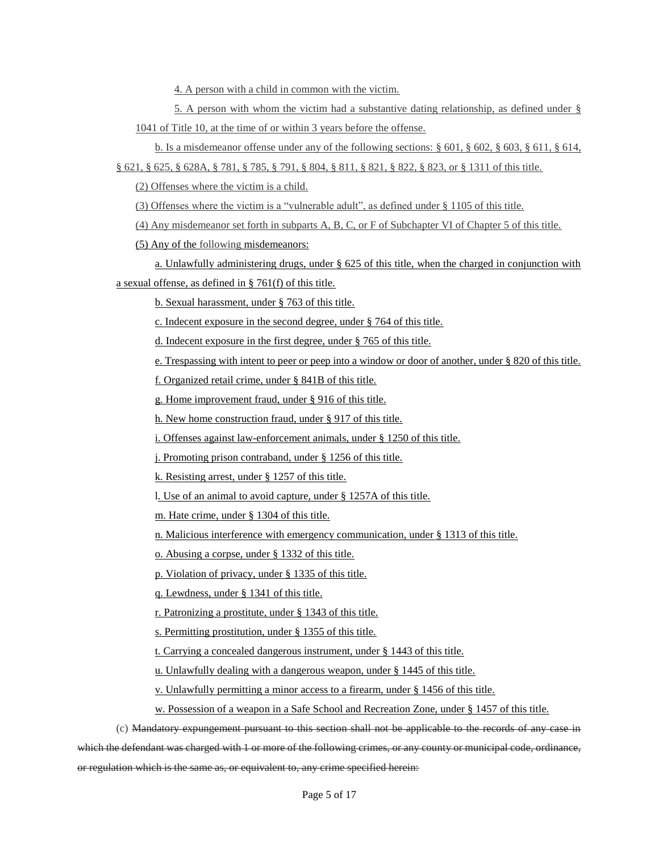4. A person with a child in common with the victim.

5. A person with whom the victim had a substantive dating relationship, as defined under § 1041 of Title 10, at the time of or within 3 years before the offense.

b. Is a misdemeanor offense under any of the following sections: § 601, § 602, § 603, § 611, § 614,

§ 621, § 625, § 628A, § 781, § 785, § 791, § 804, § 811, § 821, § 822, § 823, or § 1311 of this title.

(2) Offenses where the victim is a child.

(3) Offenses where the victim is a "vulnerable adult", as defined under § 1105 of this title.

(4) Any misdemeanor set forth in subparts A, B, C, or F of Subchapter VI of Chapter 5 of this title.

(5) Any of the following misdemeanors:

a. Unlawfully administering drugs, under § 625 of this title, when the charged in conjunction with a sexual offense, as defined in § 761(f) of this title.

b. Sexual harassment, under § 763 of this title.

c. Indecent exposure in the second degree, under § 764 of this title.

d. Indecent exposure in the first degree, under § 765 of this title.

e. Trespassing with intent to peer or peep into a window or door of another, under § 820 of this title.

f. Organized retail crime, under § 841B of this title.

g. Home improvement fraud, under § 916 of this title.

h. New home construction fraud, under § 917 of this title.

i. Offenses against law-enforcement animals, under § 1250 of this title.

j. Promoting prison contraband, under § 1256 of this title.

k. Resisting arrest, under § 1257 of this title.

l. Use of an animal to avoid capture, under § 1257A of this title.

m. Hate crime, under § 1304 of this title.

n. Malicious interference with emergency communication, under § 1313 of this title.

o. Abusing a corpse, under § 1332 of this title.

p. Violation of privacy, under § 1335 of this title.

q. Lewdness, under § 1341 of this title.

r. Patronizing a prostitute, under § 1343 of this title.

s. Permitting prostitution, under § 1355 of this title.

t. Carrying a concealed dangerous instrument, under § 1443 of this title.

u. Unlawfully dealing with a dangerous weapon, under § 1445 of this title.

v. Unlawfully permitting a minor access to a firearm, under § 1456 of this title.

w. Possession of a weapon in a Safe School and Recreation Zone, under § 1457 of this title.

(c) Mandatory expungement pursuant to this section shall not be applicable to the records of any case in which the defendant was charged with 1 or more of the following crimes, or any county or municipal code, ordinance, or regulation which is the same as, or equivalent to, any crime specified herein: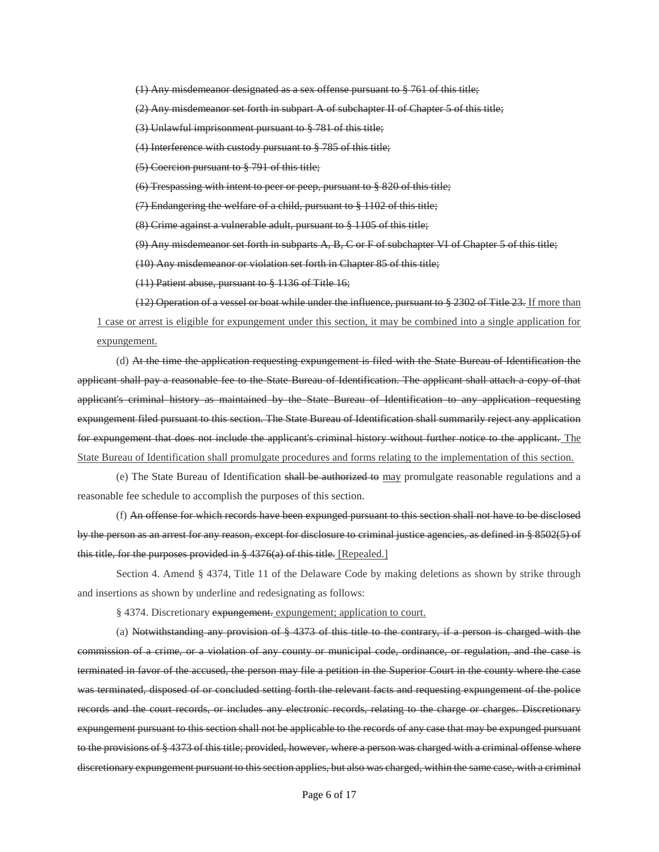(1) Any misdemeanor designated as a sex offense pursuant to § 761 of this title;

(2) Any misdemeanor set forth in subpart A of subchapter II of Chapter 5 of this title;

(3) Unlawful imprisonment pursuant to § 781 of this title;

(4) Interference with custody pursuant to § 785 of this title;

(5) Coercion pursuant to § 791 of this title;

(6) Trespassing with intent to peer or peep, pursuant to § 820 of this title;

(7) Endangering the welfare of a child, pursuant to § 1102 of this title;

(8) Crime against a vulnerable adult, pursuant to § 1105 of this title;

 $(9)$  Any misdemeanor set forth in subparts A, B, C or F of subchapter VI of Chapter 5 of this title;

(10) Any misdemeanor or violation set forth in Chapter 85 of this title;

(11) Patient abuse, pursuant to § 1136 of Title 16;

(12) Operation of a vessel or boat while under the influence, pursuant to § 2302 of Title 23. If more than 1 case or arrest is eligible for expungement under this section, it may be combined into a single application for expungement.

(d) At the time the application requesting expungement is filed with the State Bureau of Identification the applicant shall pay a reasonable fee to the State Bureau of Identification. The applicant shall attach a copy of that applicant's criminal history as maintained by the State Bureau of Identification to any application requesting expungement filed pursuant to this section. The State Bureau of Identification shall summarily reject any application for expungement that does not include the applicant's criminal history without further notice to the applicant. The State Bureau of Identification shall promulgate procedures and forms relating to the implementation of this section.

(e) The State Bureau of Identification shall be authorized to may promulgate reasonable regulations and a reasonable fee schedule to accomplish the purposes of this section.

(f) An offense for which records have been expunged pursuant to this section shall not have to be disclosed by the person as an arrest for any reason, except for disclosure to criminal justice agencies, as defined in § 8502(5) of this title, for the purposes provided in § 4376(a) of this title. [Repealed.]

Section 4. Amend § 4374, Title 11 of the Delaware Code by making deletions as shown by strike through and insertions as shown by underline and redesignating as follows:

§ 4374. Discretionary expungement. expungement; application to court.

(a) Notwithstanding any provision of § 4373 of this title to the contrary, if a person is charged with the commission of a crime, or a violation of any county or municipal code, ordinance, or regulation, and the case is terminated in favor of the accused, the person may file a petition in the Superior Court in the county where the case was terminated, disposed of or concluded setting forth the relevant facts and requesting expungement of the police records and the court records, or includes any electronic records, relating to the charge or charges. Discretionary expungement pursuant to this section shall not be applicable to the records of any case that may be expunged pursuant to the provisions of § 4373 of this title; provided, however, where a person was charged with a criminal offense where discretionary expungement pursuant to this section applies, but also was charged, within the same case, with a criminal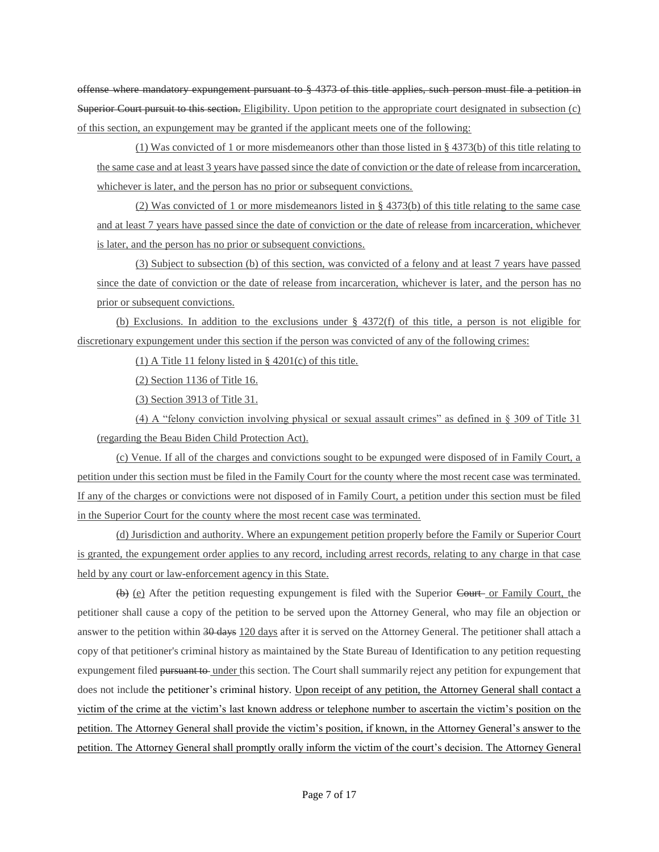offense where mandatory expungement pursuant to § 4373 of this title applies, such person must file a petition in Superior Court pursuit to this section. Eligibility. Upon petition to the appropriate court designated in subsection (c) of this section, an expungement may be granted if the applicant meets one of the following:

(1) Was convicted of 1 or more misdemeanors other than those listed in § 4373(b) of this title relating to the same case and at least 3 years have passed since the date of conviction or the date of release from incarceration, whichever is later, and the person has no prior or subsequent convictions.

(2) Was convicted of 1 or more misdemeanors listed in § 4373(b) of this title relating to the same case and at least 7 years have passed since the date of conviction or the date of release from incarceration, whichever is later, and the person has no prior or subsequent convictions.

(3) Subject to subsection (b) of this section, was convicted of a felony and at least 7 years have passed since the date of conviction or the date of release from incarceration, whichever is later, and the person has no prior or subsequent convictions.

(b) Exclusions. In addition to the exclusions under § 4372(f) of this title, a person is not eligible for discretionary expungement under this section if the person was convicted of any of the following crimes:

(1) A Title 11 felony listed in  $\S$  4201(c) of this title.

(2) Section 1136 of Title 16.

(3) Section 3913 of Title 31.

(4) A "felony conviction involving physical or sexual assault crimes" as defined in § 309 of Title 31 (regarding the Beau Biden Child Protection Act).

(c) Venue. If all of the charges and convictions sought to be expunged were disposed of in Family Court, a petition under this section must be filed in the Family Court for the county where the most recent case was terminated. If any of the charges or convictions were not disposed of in Family Court, a petition under this section must be filed in the Superior Court for the county where the most recent case was terminated.

(d) Jurisdiction and authority. Where an expungement petition properly before the Family or Superior Court is granted, the expungement order applies to any record, including arrest records, relating to any charge in that case held by any court or law-enforcement agency in this State.

 $(\theta)$  (e) After the petition requesting expungement is filed with the Superior Court or Family Court, the petitioner shall cause a copy of the petition to be served upon the Attorney General, who may file an objection or answer to the petition within 30 days 120 days after it is served on the Attorney General. The petitioner shall attach a copy of that petitioner's criminal history as maintained by the State Bureau of Identification to any petition requesting expungement filed pursuant to under this section. The Court shall summarily reject any petition for expungement that does not include the petitioner's criminal history. Upon receipt of any petition, the Attorney General shall contact a victim of the crime at the victim's last known address or telephone number to ascertain the victim's position on the petition. The Attorney General shall provide the victim's position, if known, in the Attorney General's answer to the petition. The Attorney General shall promptly orally inform the victim of the court's decision. The Attorney General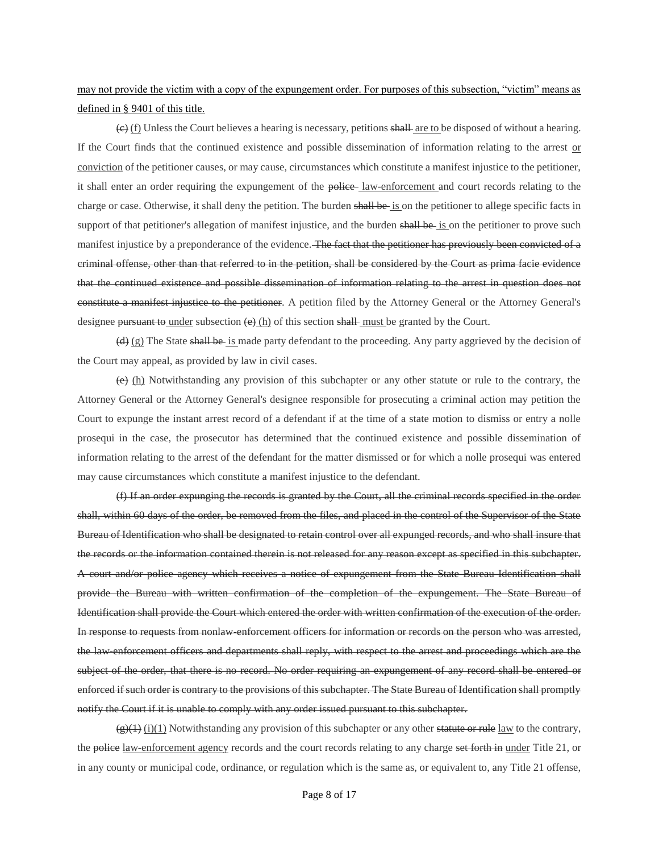# may not provide the victim with a copy of the expungement order. For purposes of this subsection, "victim" means as defined in § 9401 of this title.

 $\left(\frac{e}{f}\right)$  Unless the Court believes a hearing is necessary, petitions shall are to be disposed of without a hearing. If the Court finds that the continued existence and possible dissemination of information relating to the arrest or conviction of the petitioner causes, or may cause, circumstances which constitute a manifest injustice to the petitioner, it shall enter an order requiring the expungement of the police law-enforcement and court records relating to the charge or case. Otherwise, it shall deny the petition. The burden shall be is on the petitioner to allege specific facts in support of that petitioner's allegation of manifest injustice, and the burden shall be is on the petitioner to prove such manifest injustice by a preponderance of the evidence. The fact that the petitioner has previously been convicted of a criminal offense, other than that referred to in the petition, shall be considered by the Court as prima facie evidence that the continued existence and possible dissemination of information relating to the arrest in question does not constitute a manifest injustice to the petitioner. A petition filed by the Attorney General or the Attorney General's designee pursuant to under subsection  $\left(\frac{\Theta}{h}\right)$  of this section shall must be granted by the Court.

 $\left(\frac{d}{d}\right)$  (g) The State shall be is made party defendant to the proceeding. Any party aggrieved by the decision of the Court may appeal, as provided by law in civil cases.

 $(e)$  (h) Notwithstanding any provision of this subchapter or any other statute or rule to the contrary, the Attorney General or the Attorney General's designee responsible for prosecuting a criminal action may petition the Court to expunge the instant arrest record of a defendant if at the time of a state motion to dismiss or entry a nolle prosequi in the case, the prosecutor has determined that the continued existence and possible dissemination of information relating to the arrest of the defendant for the matter dismissed or for which a nolle prosequi was entered may cause circumstances which constitute a manifest injustice to the defendant.

(f) If an order expunging the records is granted by the Court, all the criminal records specified in the order shall, within 60 days of the order, be removed from the files, and placed in the control of the Supervisor of the State Bureau of Identification who shall be designated to retain control over all expunged records, and who shall insure that the records or the information contained therein is not released for any reason except as specified in this subchapter. A court and/or police agency which receives a notice of expungement from the State Bureau Identification shall provide the Bureau with written confirmation of the completion of the expungement. The State Bureau of Identification shall provide the Court which entered the order with written confirmation of the execution of the order. In response to requests from nonlaw-enforcement officers for information or records on the person who was arrested, the law-enforcement officers and departments shall reply, with respect to the arrest and proceedings which are the subject of the order, that there is no record. No order requiring an expungement of any record shall be entered or enforced if such order is contrary to the provisions of this subchapter. The State Bureau of Identification shall promptly notify the Court if it is unable to comply with any order issued pursuant to this subchapter.

 $\left(\frac{\rho}{f}\right)(1)$  (i)(1) Notwithstanding any provision of this subchapter or any other statute or rule law to the contrary, the police law-enforcement agency records and the court records relating to any charge set forth in under Title 21, or in any county or municipal code, ordinance, or regulation which is the same as, or equivalent to, any Title 21 offense,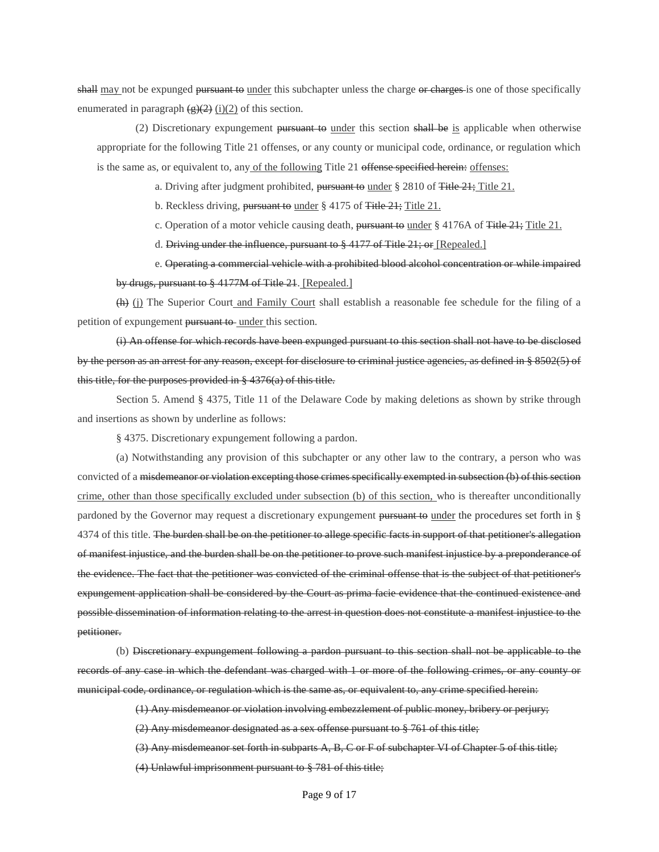shall may not be expunged pursuant to under this subchapter unless the charge or charges is one of those specifically enumerated in paragraph  $(g)(2)$  (i)(2) of this section.

(2) Discretionary expungement pursuant to under this section shall be is applicable when otherwise appropriate for the following Title 21 offenses, or any county or municipal code, ordinance, or regulation which is the same as, or equivalent to, any of the following Title 21 offense specified herein: offenses:

a. Driving after judgment prohibited, pursuant to under  $\S 2810$  of Title  $21$ ; Title 21.

b. Reckless driving, pursuant to under § 4175 of Title 21; Title 21.

c. Operation of a motor vehicle causing death, pursuant to under  $\S 4176A$  of Title  $21$ ; Title 21.

d. Driving under the influence, pursuant to  $\S$  4177 of Title 21; or [Repealed.]

e. Operating a commercial vehicle with a prohibited blood alcohol concentration or while impaired by drugs, pursuant to § 4177M of Title 21. [Repealed.]

(h) (j) The Superior Court and Family Court shall establish a reasonable fee schedule for the filing of a petition of expungement pursuant to under this section.

(i) An offense for which records have been expunged pursuant to this section shall not have to be disclosed by the person as an arrest for any reason, except for disclosure to criminal justice agencies, as defined in § 8502(5) of this title, for the purposes provided in § 4376(a) of this title.

Section 5. Amend § 4375, Title 11 of the Delaware Code by making deletions as shown by strike through and insertions as shown by underline as follows:

§ 4375. Discretionary expungement following a pardon.

(a) Notwithstanding any provision of this subchapter or any other law to the contrary, a person who was convicted of a misdemeanor or violation excepting those crimes specifically exempted in subsection (b) of this section crime, other than those specifically excluded under subsection (b) of this section, who is thereafter unconditionally pardoned by the Governor may request a discretionary expungement pursuant to under the procedures set forth in § 4374 of this title. The burden shall be on the petitioner to allege specific facts in support of that petitioner's allegation of manifest injustice, and the burden shall be on the petitioner to prove such manifest injustice by a preponderance of the evidence. The fact that the petitioner was convicted of the criminal offense that is the subject of that petitioner's expungement application shall be considered by the Court as prima facie evidence that the continued existence and possible dissemination of information relating to the arrest in question does not constitute a manifest injustice to the petitioner.

(b) Discretionary expungement following a pardon pursuant to this section shall not be applicable to the records of any case in which the defendant was charged with 1 or more of the following crimes, or any county or municipal code, ordinance, or regulation which is the same as, or equivalent to, any crime specified herein:

(1) Any misdemeanor or violation involving embezzlement of public money, bribery or perjury;

(2) Any misdemeanor designated as a sex offense pursuant to § 761 of this title;

(3) Any misdemeanor set forth in subparts A, B, C or F of subchapter VI of Chapter 5 of this title;

(4) Unlawful imprisonment pursuant to § 781 of this title;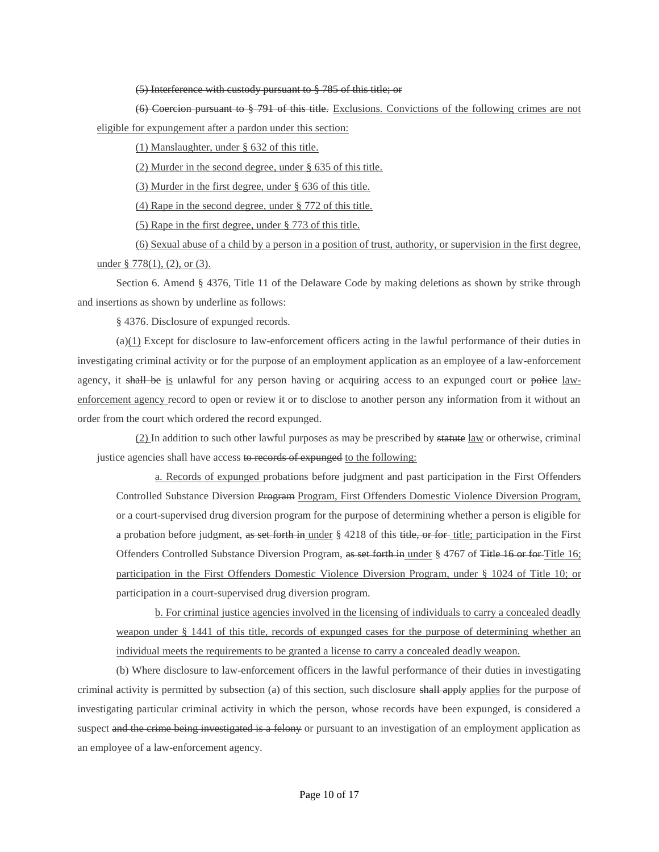#### (5) Interference with custody pursuant to § 785 of this title; or

(6) Coercion pursuant to § 791 of this title. Exclusions. Convictions of the following crimes are not eligible for expungement after a pardon under this section:

(1) Manslaughter, under § 632 of this title.

(2) Murder in the second degree, under § 635 of this title.

(3) Murder in the first degree, under § 636 of this title.

(4) Rape in the second degree, under § 772 of this title.

(5) Rape in the first degree, under § 773 of this title.

(6) Sexual abuse of a child by a person in a position of trust, authority, or supervision in the first degree, under § 778(1), (2), or (3).

Section 6. Amend § 4376, Title 11 of the Delaware Code by making deletions as shown by strike through and insertions as shown by underline as follows:

§ 4376. Disclosure of expunged records.

 $(a)(1)$  Except for disclosure to law-enforcement officers acting in the lawful performance of their duties in investigating criminal activity or for the purpose of an employment application as an employee of a law-enforcement agency, it shall be is unlawful for any person having or acquiring access to an expunged court or police lawenforcement agency record to open or review it or to disclose to another person any information from it without an order from the court which ordered the record expunged.

(2) In addition to such other lawful purposes as may be prescribed by statute law or otherwise, criminal justice agencies shall have access to records of expunged to the following:

a. Records of expunged probations before judgment and past participation in the First Offenders Controlled Substance Diversion Program Program, First Offenders Domestic Violence Diversion Program, or a court-supervised drug diversion program for the purpose of determining whether a person is eligible for a probation before judgment, as set forth in under § 4218 of this title, or for title; participation in the First Offenders Controlled Substance Diversion Program, as set forth in under § 4767 of Title 16 or for Title 16; participation in the First Offenders Domestic Violence Diversion Program, under § 1024 of Title 10; or participation in a court-supervised drug diversion program.

b. For criminal justice agencies involved in the licensing of individuals to carry a concealed deadly weapon under § 1441 of this title, records of expunged cases for the purpose of determining whether an individual meets the requirements to be granted a license to carry a concealed deadly weapon.

(b) Where disclosure to law-enforcement officers in the lawful performance of their duties in investigating criminal activity is permitted by subsection (a) of this section, such disclosure shall apply applies for the purpose of investigating particular criminal activity in which the person, whose records have been expunged, is considered a suspect and the crime being investigated is a felony or pursuant to an investigation of an employment application as an employee of a law-enforcement agency.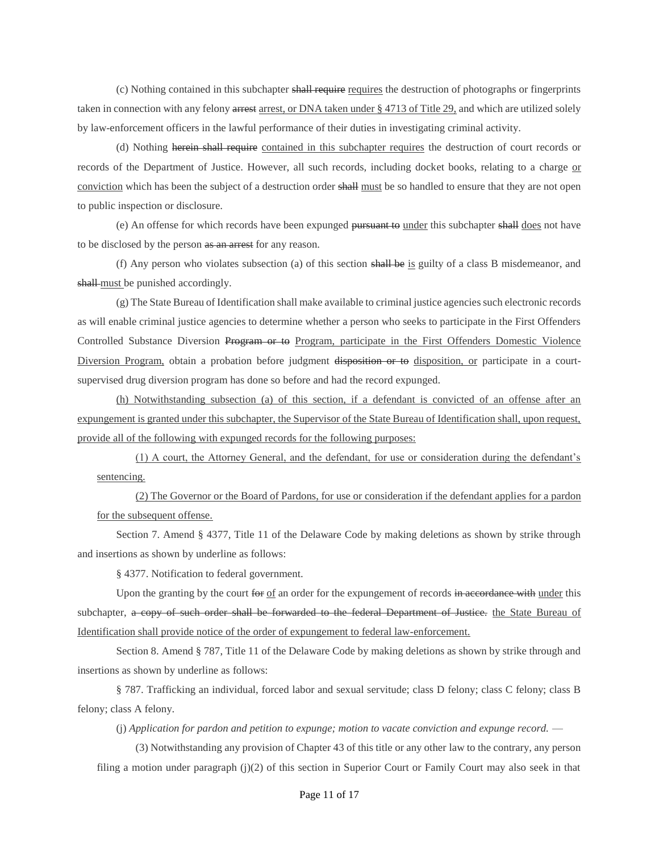(c) Nothing contained in this subchapter shall require requires the destruction of photographs or fingerprints taken in connection with any felony arrest arrest, or DNA taken under § 4713 of Title 29, and which are utilized solely by law-enforcement officers in the lawful performance of their duties in investigating criminal activity.

(d) Nothing herein shall require contained in this subchapter requires the destruction of court records or records of the Department of Justice. However, all such records, including docket books, relating to a charge or conviction which has been the subject of a destruction order shall must be so handled to ensure that they are not open to public inspection or disclosure.

(e) An offense for which records have been expunged pursuant to under this subchapter shall does not have to be disclosed by the person as an arrest for any reason.

(f) Any person who violates subsection (a) of this section shall be is guilty of a class B misdemeanor, and shall-must be punished accordingly.

(g) The State Bureau of Identification shall make available to criminal justice agencies such electronic records as will enable criminal justice agencies to determine whether a person who seeks to participate in the First Offenders Controlled Substance Diversion Program or to Program, participate in the First Offenders Domestic Violence Diversion Program, obtain a probation before judgment disposition or to disposition, or participate in a courtsupervised drug diversion program has done so before and had the record expunged.

(h) Notwithstanding subsection (a) of this section, if a defendant is convicted of an offense after an expungement is granted under this subchapter, the Supervisor of the State Bureau of Identification shall, upon request, provide all of the following with expunged records for the following purposes:

(1) A court, the Attorney General, and the defendant, for use or consideration during the defendant's sentencing.

(2) The Governor or the Board of Pardons, for use or consideration if the defendant applies for a pardon for the subsequent offense.

Section 7. Amend § 4377, Title 11 of the Delaware Code by making deletions as shown by strike through and insertions as shown by underline as follows:

§ 4377. Notification to federal government.

Upon the granting by the court for of an order for the expungement of records in accordance with under this subchapter, a copy of such order shall be forwarded to the federal Department of Justice, the State Bureau of Identification shall provide notice of the order of expungement to federal law-enforcement.

Section 8. Amend § 787, Title 11 of the Delaware Code by making deletions as shown by strike through and insertions as shown by underline as follows:

§ 787. Trafficking an individual, forced labor and sexual servitude; class D felony; class C felony; class B felony; class A felony.

(j) *Application for pardon and petition to expunge; motion to vacate conviction and expunge record.* —

(3) Notwithstanding any provision of Chapter 43 of this title or any other law to the contrary, any person filing a motion under paragraph (j)(2) of this section in Superior Court or Family Court may also seek in that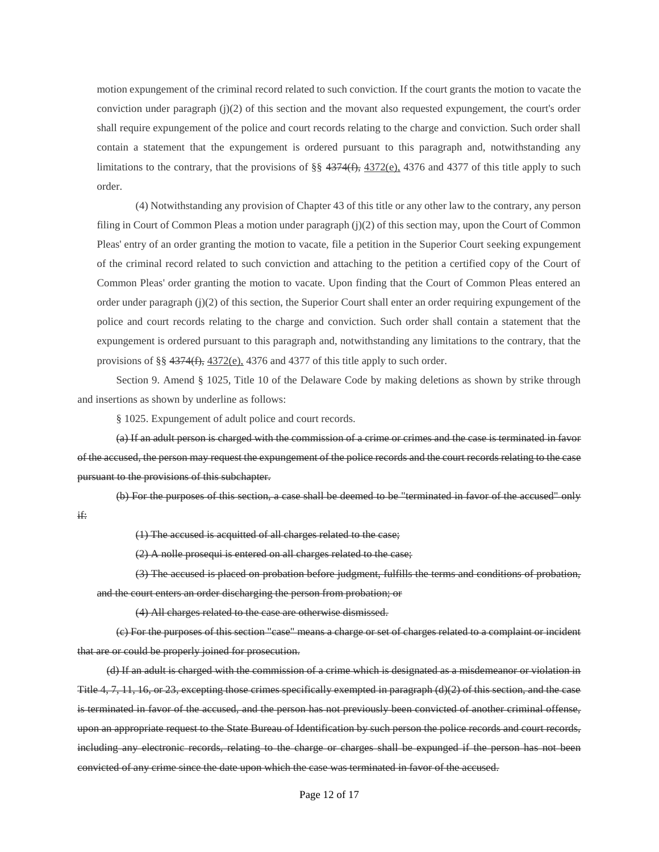motion expungement of the criminal record related to such conviction. If the court grants the motion to vacate the conviction under paragraph (j)(2) of this section and the movant also requested expungement, the court's order shall require expungement of the police and court records relating to the charge and conviction. Such order shall contain a statement that the expungement is ordered pursuant to this paragraph and, notwithstanding any limitations to the contrary, that the provisions of §§  $4374(f)$ ,  $4372(e)$ ,  $4376$  and  $4377$  of this title apply to such order.

(4) Notwithstanding any provision of Chapter 43 of this title or any other law to the contrary, any person filing in Court of Common Pleas a motion under paragraph (j)(2) of this section may, upon the Court of Common Pleas' entry of an order granting the motion to vacate, file a petition in the Superior Court seeking expungement of the criminal record related to such conviction and attaching to the petition a certified copy of the Court of Common Pleas' order granting the motion to vacate. Upon finding that the Court of Common Pleas entered an order under paragraph (j)(2) of this section, the Superior Court shall enter an order requiring expungement of the police and court records relating to the charge and conviction. Such order shall contain a statement that the expungement is ordered pursuant to this paragraph and, notwithstanding any limitations to the contrary, that the provisions of §§ 4374(f), 4372(e), 4376 and 4377 of this title apply to such order.

Section 9. Amend § 1025, Title 10 of the Delaware Code by making deletions as shown by strike through and insertions as shown by underline as follows:

§ 1025. Expungement of adult police and court records.

(a) If an adult person is charged with the commission of a crime or crimes and the case is terminated in favor of the accused, the person may request the expungement of the police records and the court records relating to the case pursuant to the provisions of this subchapter.

(b) For the purposes of this section, a case shall be deemed to be "terminated in favor of the accused" only if:

(1) The accused is acquitted of all charges related to the case;

(2) A nolle prosequi is entered on all charges related to the case;

(3) The accused is placed on probation before judgment, fulfills the terms and conditions of probation, and the court enters an order discharging the person from probation; or

(4) All charges related to the case are otherwise dismissed.

(c) For the purposes of this section "case" means a charge or set of charges related to a complaint or incident that are or could be properly joined for prosecution.

(d) If an adult is charged with the commission of a crime which is designated as a misdemeanor or violation in Title 4, 7, 11, 16, or 23, excepting those crimes specifically exempted in paragraph (d)(2) of this section, and the case is terminated in favor of the accused, and the person has not previously been convicted of another criminal offense, upon an appropriate request to the State Bureau of Identification by such person the police records and court records, including any electronic records, relating to the charge or charges shall be expunged if the person has not been convicted of any crime since the date upon which the case was terminated in favor of the accused.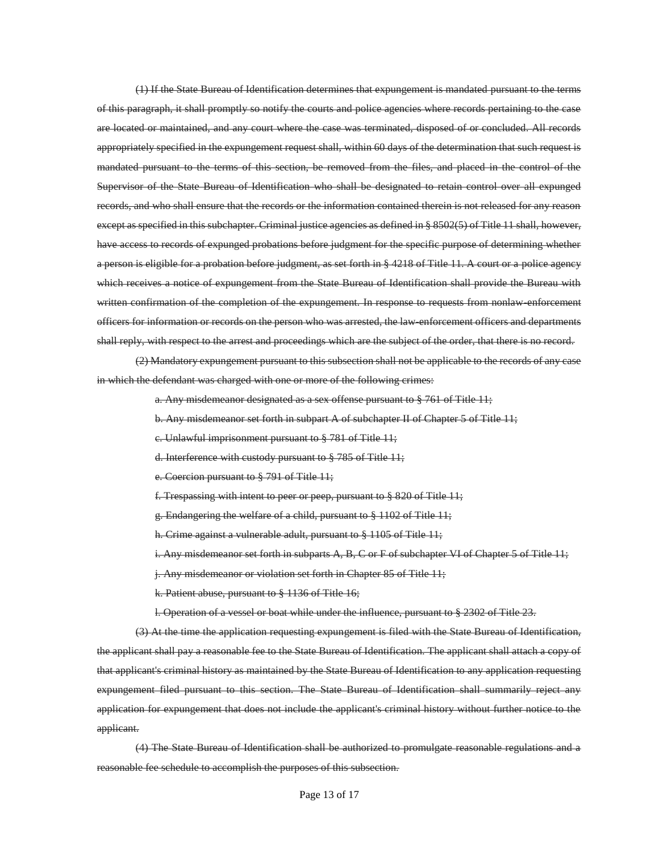(1) If the State Bureau of Identification determines that expungement is mandated pursuant to the terms of this paragraph, it shall promptly so notify the courts and police agencies where records pertaining to the case are located or maintained, and any court where the case was terminated, disposed of or concluded. All records appropriately specified in the expungement request shall, within 60 days of the determination that such request is mandated pursuant to the terms of this section, be removed from the files, and placed in the control of the Supervisor of the State Bureau of Identification who shall be designated to retain control over all expunged records, and who shall ensure that the records or the information contained therein is not released for any reason except as specified in this subchapter. Criminal justice agencies as defined in § 8502(5) of Title 11 shall, however, have access to records of expunged probations before judgment for the specific purpose of determining whether a person is eligible for a probation before judgment, as set forth in § 4218 of Title 11. A court or a police agency which receives a notice of expungement from the State Bureau of Identification shall provide the Bureau with written confirmation of the completion of the expungement. In response to requests from nonlaw-enforcement officers for information or records on the person who was arrested, the law-enforcement officers and departments shall reply, with respect to the arrest and proceedings which are the subject of the order, that there is no record.

(2) Mandatory expungement pursuant to this subsection shall not be applicable to the records of any case in which the defendant was charged with one or more of the following crimes:

a. Any misdemeanor designated as a sex offense pursuant to § 761 of Title 11;

- b. Any misdemeanor set forth in subpart A of subchapter II of Chapter 5 of Title 11;
- c. Unlawful imprisonment pursuant to § 781 of Title 11;
- d. Interference with custody pursuant to § 785 of Title 11;
- e. Coercion pursuant to § 791 of Title 11;
- f. Trespassing with intent to peer or peep, pursuant to § 820 of Title 11;
- g. Endangering the welfare of a child, pursuant to § 1102 of Title 11;
- h. Crime against a vulnerable adult, pursuant to § 1105 of Title 11;
- i. Any misdemeanor set forth in subparts A, B, C or F of subchapter VI of Chapter 5 of Title 11;
- j. Any misdemeanor or violation set forth in Chapter 85 of Title 11;
- k. Patient abuse, pursuant to § 1136 of Title 16;
- l. Operation of a vessel or boat while under the influence, pursuant to § 2302 of Title 23.

(3) At the time the application requesting expungement is filed with the State Bureau of Identification, the applicant shall pay a reasonable fee to the State Bureau of Identification. The applicant shall attach a copy of that applicant's criminal history as maintained by the State Bureau of Identification to any application requesting expungement filed pursuant to this section. The State Bureau of Identification shall summarily reject any application for expungement that does not include the applicant's criminal history without further notice to the applicant.

(4) The State Bureau of Identification shall be authorized to promulgate reasonable regulations and a reasonable fee schedule to accomplish the purposes of this subsection.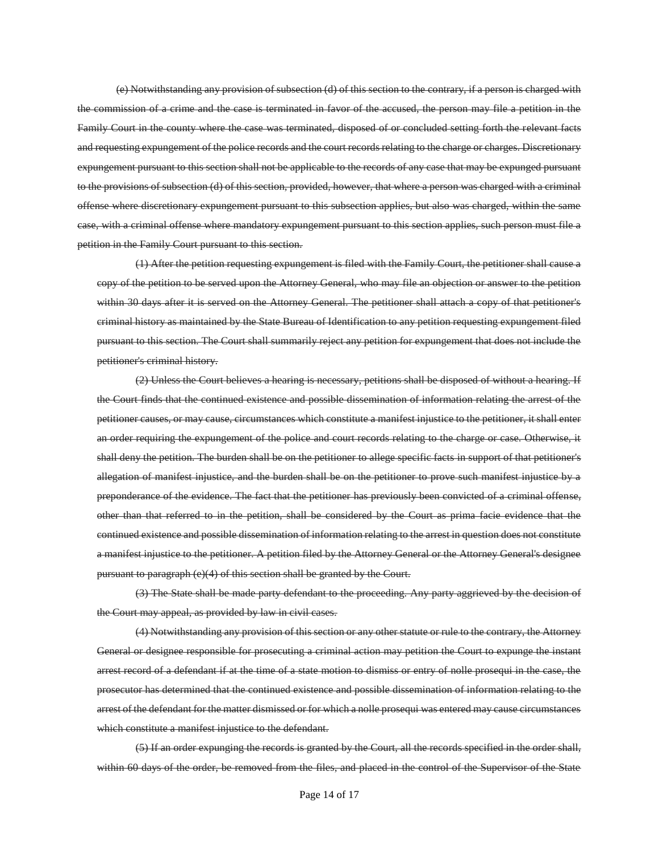(e) Notwithstanding any provision of subsection (d) of this section to the contrary, if a person is charged with the commission of a crime and the case is terminated in favor of the accused, the person may file a petition in the Family Court in the county where the case was terminated, disposed of or concluded setting forth the relevant facts and requesting expungement of the police records and the court records relating to the charge or charges. Discretionary expungement pursuant to this section shall not be applicable to the records of any case that may be expunged pursuant to the provisions of subsection (d) of this section, provided, however, that where a person was charged with a criminal offense where discretionary expungement pursuant to this subsection applies, but also was charged, within the same case, with a criminal offense where mandatory expungement pursuant to this section applies, such person must file a petition in the Family Court pursuant to this section.

(1) After the petition requesting expungement is filed with the Family Court, the petitioner shall cause a copy of the petition to be served upon the Attorney General, who may file an objection or answer to the petition within 30 days after it is served on the Attorney General. The petitioner shall attach a copy of that petitioner's criminal history as maintained by the State Bureau of Identification to any petition requesting expungement filed pursuant to this section. The Court shall summarily reject any petition for expungement that does not include the petitioner's criminal history.

(2) Unless the Court believes a hearing is necessary, petitions shall be disposed of without a hearing. If the Court finds that the continued existence and possible dissemination of information relating the arrest of the petitioner causes, or may cause, circumstances which constitute a manifest injustice to the petitioner, it shall enter an order requiring the expungement of the police and court records relating to the charge or case. Otherwise, it shall deny the petition. The burden shall be on the petitioner to allege specific facts in support of that petitioner's allegation of manifest injustice, and the burden shall be on the petitioner to prove such manifest injustice by a preponderance of the evidence. The fact that the petitioner has previously been convicted of a criminal offense, other than that referred to in the petition, shall be considered by the Court as prima facie evidence that the continued existence and possible dissemination of information relating to the arrest in question does not constitute a manifest injustice to the petitioner. A petition filed by the Attorney General or the Attorney General's designee pursuant to paragraph (e)(4) of this section shall be granted by the Court.

(3) The State shall be made party defendant to the proceeding. Any party aggrieved by the decision of the Court may appeal, as provided by law in civil cases.

(4) Notwithstanding any provision of this section or any other statute or rule to the contrary, the Attorney General or designee responsible for prosecuting a criminal action may petition the Court to expunge the instant arrest record of a defendant if at the time of a state motion to dismiss or entry of nolle prosequi in the case, the prosecutor has determined that the continued existence and possible dissemination of information relating to the arrest of the defendant for the matter dismissed or for which a nolle prosequi was entered may cause circumstances which constitute a manifest injustice to the defendant.

(5) If an order expunging the records is granted by the Court, all the records specified in the order shall, within 60 days of the order, be removed from the files, and placed in the control of the Supervisor of the State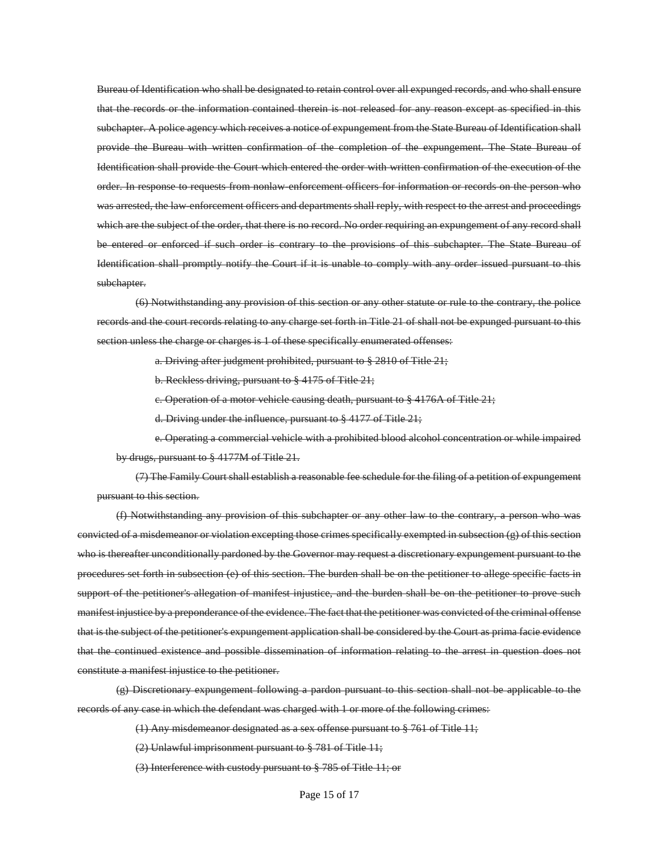Bureau of Identification who shall be designated to retain control over all expunged records, and who shall ensure that the records or the information contained therein is not released for any reason except as specified in this subchapter. A police agency which receives a notice of expungement from the State Bureau of Identification shall provide the Bureau with written confirmation of the completion of the expungement. The State Bureau of Identification shall provide the Court which entered the order with written confirmation of the execution of the order. In response to requests from nonlaw-enforcement officers for information or records on the person who was arrested, the law-enforcement officers and departments shall reply, with respect to the arrest and proceedings which are the subject of the order, that there is no record. No order requiring an expungement of any record shall be entered or enforced if such order is contrary to the provisions of this subchapter. The State Bureau of Identification shall promptly notify the Court if it is unable to comply with any order issued pursuant to this subchapter.

(6) Notwithstanding any provision of this section or any other statute or rule to the contrary, the police records and the court records relating to any charge set forth in Title 21 of shall not be expunged pursuant to this section unless the charge or charges is 1 of these specifically enumerated offenses:

a. Driving after judgment prohibited, pursuant to § 2810 of Title 21;

b. Reckless driving, pursuant to § 4175 of Title 21;

c. Operation of a motor vehicle causing death, pursuant to § 4176A of Title 21;

d. Driving under the influence, pursuant to § 4177 of Title 21;

e. Operating a commercial vehicle with a prohibited blood alcohol concentration or while impaired by drugs, pursuant to § 4177M of Title 21.

(7) The Family Court shall establish a reasonable fee schedule for the filing of a petition of expungement pursuant to this section.

(f) Notwithstanding any provision of this subchapter or any other law to the contrary, a person who was convicted of a misdemeanor or violation excepting those crimes specifically exempted in subsection  $(e)$  of this section who is thereafter unconditionally pardoned by the Governor may request a discretionary expungement pursuant to the procedures set forth in subsection (e) of this section. The burden shall be on the petitioner to allege specific facts in support of the petitioner's allegation of manifest injustice, and the burden shall be on the petitioner to prove such manifest injustice by a preponderance of the evidence. The fact that the petitioner was convicted of the criminal offense that is the subject of the petitioner's expungement application shall be considered by the Court as prima facie evidence that the continued existence and possible dissemination of information relating to the arrest in question does not constitute a manifest injustice to the petitioner.

(g) Discretionary expungement following a pardon pursuant to this section shall not be applicable to the records of any case in which the defendant was charged with 1 or more of the following crimes:

(1) Any misdemeanor designated as a sex offense pursuant to § 761 of Title 11;

(2) Unlawful imprisonment pursuant to § 781 of Title 11;

(3) Interference with custody pursuant to § 785 of Title 11; or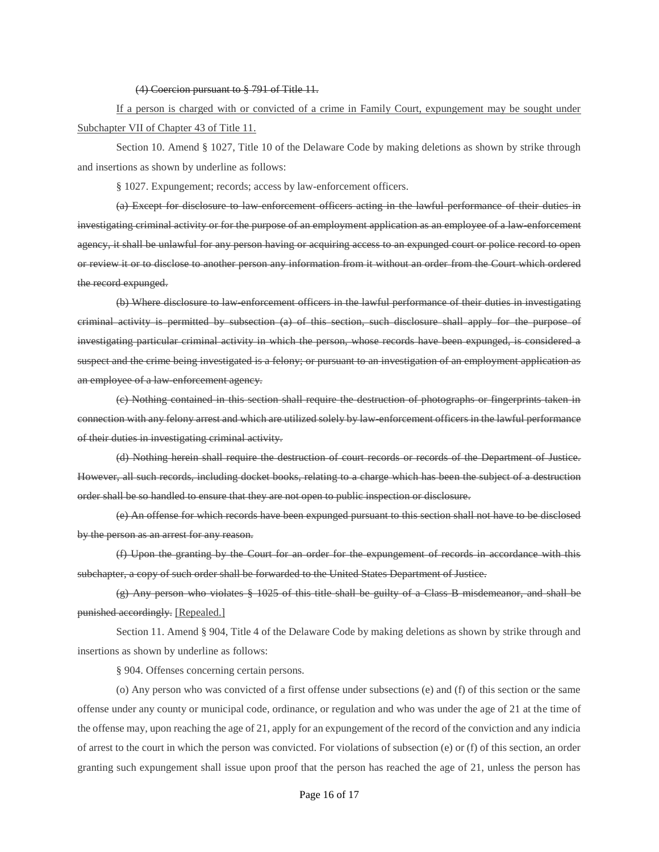(4) Coercion pursuant to § 791 of Title 11.

If a person is charged with or convicted of a crime in Family Court, expungement may be sought under Subchapter VII of Chapter 43 of Title 11.

Section 10. Amend § 1027, Title 10 of the Delaware Code by making deletions as shown by strike through and insertions as shown by underline as follows:

§ 1027. Expungement; records; access by law-enforcement officers.

(a) Except for disclosure to law-enforcement officers acting in the lawful performance of their duties in investigating criminal activity or for the purpose of an employment application as an employee of a law-enforcement agency, it shall be unlawful for any person having or acquiring access to an expunged court or police record to open or review it or to disclose to another person any information from it without an order from the Court which ordered the record expunged.

(b) Where disclosure to law-enforcement officers in the lawful performance of their duties in investigating criminal activity is permitted by subsection (a) of this section, such disclosure shall apply for the purpose of investigating particular criminal activity in which the person, whose records have been expunged, is considered a suspect and the crime being investigated is a felony; or pursuant to an investigation of an employment application as an employee of a law-enforcement agency.

(c) Nothing contained in this section shall require the destruction of photographs or fingerprints taken in connection with any felony arrest and which are utilized solely by law-enforcement officers in the lawful performance of their duties in investigating criminal activity.

(d) Nothing herein shall require the destruction of court records or records of the Department of Justice. However, all such records, including docket books, relating to a charge which has been the subject of a destruction order shall be so handled to ensure that they are not open to public inspection or disclosure.

(e) An offense for which records have been expunged pursuant to this section shall not have to be disclosed by the person as an arrest for any reason.

(f) Upon the granting by the Court for an order for the expungement of records in accordance with this subchapter, a copy of such order shall be forwarded to the United States Department of Justice.

(g) Any person who violates § 1025 of this title shall be guilty of a Class B misdemeanor, and shall be punished accordingly. [Repealed.]

Section 11. Amend § 904, Title 4 of the Delaware Code by making deletions as shown by strike through and insertions as shown by underline as follows:

§ 904. Offenses concerning certain persons.

(o) Any person who was convicted of a first offense under subsections (e) and (f) of this section or the same offense under any county or municipal code, ordinance, or regulation and who was under the age of 21 at the time of the offense may, upon reaching the age of 21, apply for an expungement of the record of the conviction and any indicia of arrest to the court in which the person was convicted. For violations of subsection (e) or (f) of this section, an order granting such expungement shall issue upon proof that the person has reached the age of 21, unless the person has